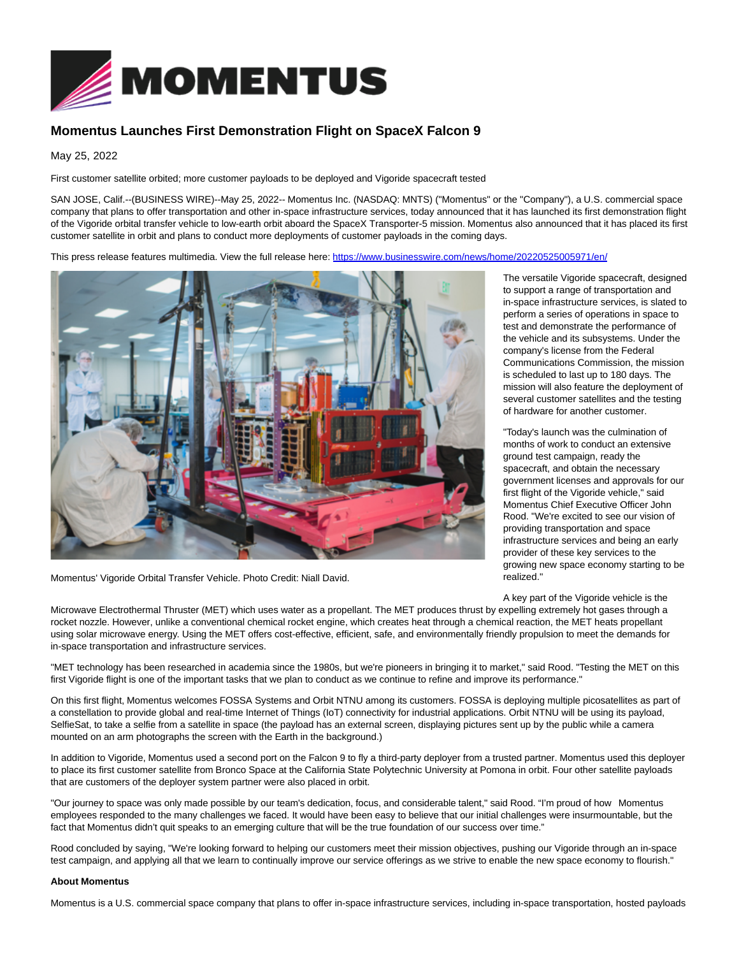

## **Momentus Launches First Demonstration Flight on SpaceX Falcon 9**

May 25, 2022

First customer satellite orbited; more customer payloads to be deployed and Vigoride spacecraft tested

SAN JOSE, Calif.--(BUSINESS WIRE)--May 25, 2022-- Momentus Inc. (NASDAQ: MNTS) ("Momentus" or the "Company"), a U.S. commercial space company that plans to offer transportation and other in-space infrastructure services, today announced that it has launched its first demonstration flight of the Vigoride orbital transfer vehicle to low-earth orbit aboard the SpaceX Transporter-5 mission. Momentus also announced that it has placed its first customer satellite in orbit and plans to conduct more deployments of customer payloads in the coming days.

This press release features multimedia. View the full release here:<https://www.businesswire.com/news/home/20220525005971/en/>



Momentus' Vigoride Orbital Transfer Vehicle. Photo Credit: Niall David.

The versatile Vigoride spacecraft, designed to support a range of transportation and in-space infrastructure services, is slated to perform a series of operations in space to test and demonstrate the performance of the vehicle and its subsystems. Under the company's license from the Federal Communications Commission, the mission is scheduled to last up to 180 days. The mission will also feature the deployment of several customer satellites and the testing of hardware for another customer.

"Today's launch was the culmination of months of work to conduct an extensive ground test campaign, ready the spacecraft, and obtain the necessary government licenses and approvals for our first flight of the Vigoride vehicle," said Momentus Chief Executive Officer John Rood. "We're excited to see our vision of providing transportation and space infrastructure services and being an early provider of these key services to the growing new space economy starting to be realized."

A key part of the Vigoride vehicle is the

Microwave Electrothermal Thruster (MET) which uses water as a propellant. The MET produces thrust by expelling extremely hot gases through a rocket nozzle. However, unlike a conventional chemical rocket engine, which creates heat through a chemical reaction, the MET heats propellant using solar microwave energy. Using the MET offers cost-effective, efficient, safe, and environmentally friendly propulsion to meet the demands for in-space transportation and infrastructure services.

"MET technology has been researched in academia since the 1980s, but we're pioneers in bringing it to market," said Rood. "Testing the MET on this first Vigoride flight is one of the important tasks that we plan to conduct as we continue to refine and improve its performance."

On this first flight, Momentus welcomes FOSSA Systems and Orbit NTNU among its customers. FOSSA is deploying multiple picosatellites as part of a constellation to provide global and real-time Internet of Things (IoT) connectivity for industrial applications. Orbit NTNU will be using its payload, SelfieSat, to take a selfie from a satellite in space (the payload has an external screen, displaying pictures sent up by the public while a camera mounted on an arm photographs the screen with the Earth in the background.)

In addition to Vigoride, Momentus used a second port on the Falcon 9 to fly a third-party deployer from a trusted partner. Momentus used this deployer to place its first customer satellite from Bronco Space at the California State Polytechnic University at Pomona in orbit. Four other satellite payloads that are customers of the deployer system partner were also placed in orbit.

"Our journey to space was only made possible by our team's dedication, focus, and considerable talent," said Rood. "I'm proud of how Momentus employees responded to the many challenges we faced. It would have been easy to believe that our initial challenges were insurmountable, but the fact that Momentus didn't quit speaks to an emerging culture that will be the true foundation of our success over time."

Rood concluded by saying, "We're looking forward to helping our customers meet their mission objectives, pushing our Vigoride through an in-space test campaign, and applying all that we learn to continually improve our service offerings as we strive to enable the new space economy to flourish."

## **About Momentus**

Momentus is a U.S. commercial space company that plans to offer in-space infrastructure services, including in-space transportation, hosted payloads